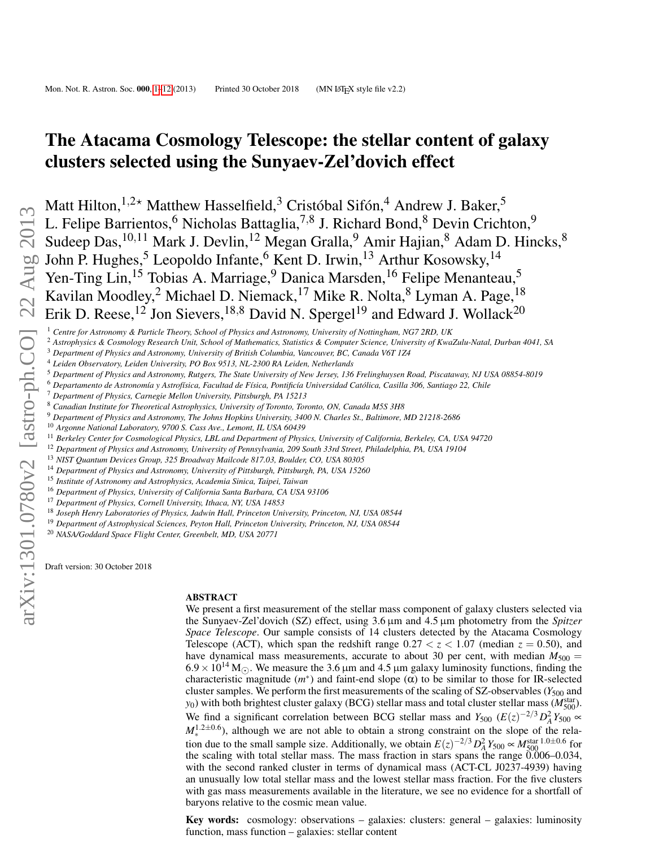# <span id="page-0-1"></span>The Atacama Cosmology Telescope: the stellar content of galaxy clusters selected using the Sunyaev-Zel'dovich effect

Matt Hilton,  $1,2*$  Matthew Hasselfield,  $3$  Cristóbal Sifón,  $4$  Andrew J. Baker,  $5$ L. Felipe Barrientos,<sup>6</sup> Nicholas Battaglia,<sup>7,8</sup> L. Felipe Barrientos,<sup>6</sup> Nicholas Battaglia,<sup>7,8</sup> J. Richard Bond,<sup>8</sup> Devin Crichton,<sup>9</sup> Sudeep Das,<sup>10,11</sup> Mark J. Devlin,<sup>12</sup> Megan Gralla,<sup>9</sup> Amir Hajian,<sup>8</sup> Adam D. Hincks,<sup>8</sup> John P. Hughes,<sup>5</sup> Leopoldo Infante,<sup>6</sup> Kent D. Irwin,<sup>13</sup> Arthur Kosowsky,<sup>14</sup> Yen-Ting Lin,<sup>15</sup> Tobias A. Marriage,<sup>9</sup> Danica Marsden,<sup>16</sup> Felipe Menanteau,<sup>5</sup> Kavilan Moodley,<sup>2</sup> Michael D. Niemack,<sup>17</sup> Mike R. Nolta,<sup>8</sup> Lyman A. Page,<sup>18</sup> Erik D. Reese,<sup>12</sup> Jon Sievers,<sup>18,8</sup> David N. Spergel<sup>19</sup> and Edward J. Wollack<sup>20</sup> Erik D. Reese,<sup>12</sup> Jon Sievers,<sup>18,8</sup> David N. Spergel<sup>19</sup> and Edward J. Wollack<sup>20</sup>

<sup>2</sup> *Astrophysics & Cosmology Research Unit, School of Mathematics, Statistics & Computer Science, University of KwaZulu-Natal, Durban 4041, SA*

- <sup>3</sup> *Department of Physics and Astronomy, University of British Columbia, Vancouver, BC, Canada V6T 1Z4*
- <sup>4</sup> *Leiden Observatory, Leiden University, PO Box 9513, NL-2300 RA Leiden, Netherlands*
- <sup>5</sup> *Department of Physics and Astronomy, Rutgers, The State University of New Jersey, 136 Frelinghuysen Road, Piscataway, NJ USA 08854-8019*
- <sup>6</sup> *Departamento de Astronomía y Astrofísica, Facultad de Física, Pontificía Universidad Católica, Casilla 306, Santiago 22, Chile*
- <sup>7</sup> *Department of Physics, Carnegie Mellon University, Pittsburgh, PA 15213*
- <sup>8</sup> *Canadian Institute for Theoretical Astrophysics, University of Toronto, Toronto, ON, Canada M5S 3H8*
- <sup>9</sup> *Department of Physics and Astronomy, The Johns Hopkins University, 3400 N. Charles St., Baltimore, MD 21218-2686*
- <sup>10</sup> *Argonne National Laboratory, 9700 S. Cass Ave., Lemont, IL USA 60439*
- <sup>11</sup> *Berkeley Center for Cosmological Physics, LBL and Department of Physics, University of California, Berkeley, CA, USA 94720*
- <sup>12</sup> *Department of Physics and Astronomy, University of Pennsylvania, 209 South 33rd Street, Philadelphia, PA, USA 19104*
- <sup>13</sup> *NIST Quantum Devices Group, 325 Broadway Mailcode 817.03, Boulder, CO, USA 80305*
- <sup>14</sup> *Department of Physics and Astronomy, University of Pittsburgh, Pittsburgh, PA, USA 15260*
- <sup>15</sup> *Institute of Astronomy and Astrophysics, Academia Sinica, Taipei, Taiwan*
- <sup>16</sup> *Department of Physics, University of California Santa Barbara, CA USA 93106*
- <sup>17</sup> *Department of Physics, Cornell University, Ithaca, NY, USA 14853*
- <sup>18</sup> *Joseph Henry Laboratories of Physics, Jadwin Hall, Princeton University, Princeton, NJ, USA 08544*
- <sup>19</sup> *Department of Astrophysical Sciences, Peyton Hall, Princeton University, Princeton, NJ, USA 08544*
- <sup>20</sup> *NASA/Goddard Space Flight Center, Greenbelt, MD, USA 20771*

Draft version: 30 October 2018

#### ABSTRACT

We present a first measurement of the stellar mass component of galaxy clusters selected via the Sunyaev-Zel'dovich (SZ) effect, using 3.6 µm and 4.5 µm photometry from the *Spitzer Space Telescope*. Our sample consists of 14 clusters detected by the Atacama Cosmology Telescope (ACT), which span the redshift range  $0.27 < z < 1.07$  (median  $z = 0.50$ ), and have dynamical mass measurements, accurate to about 30 per cent, with median  $M_{500}$  =  $6.9 \times 10^{14}$  M<sub>( $\odot$ </sub>). We measure the 3.6 µm and 4.5 µm galaxy luminosity functions, finding the characteristic magnitude  $(m^*)$  and faint-end slope  $(\alpha)$  to be similar to those for IR-selected cluster samples. We perform the first measurements of the scaling of SZ-observables ( $Y_{500}$  and *y*<sub>0</sub>) with both brightest cluster galaxy (BCG) stellar mass and total cluster stellar mass ( $M_{500}^{\text{star}}$ ). We find a significant correlation between BCG stellar mass and  $Y_{500}$  ( $E(z)^{-2/3}D_A^2Y_{500} \propto$  $M_*^{1.2\pm0.6}$ ), although we are not able to obtain a strong constraint on the slope of the relation due to the small sample size. Additionally, we obtain  $E(z)^{-2/3} D_A^2 Y_{500} \propto M_{500}^{\text{star}}$  1.0±0.6 for the scaling with total stellar mass. The mass fraction in stars spans the range 0.006–0.034, with the second ranked cluster in terms of dynamical mass (ACT-CL J0237-4939) having an unusually low total stellar mass and the lowest stellar mass fraction. For the five clusters with gas mass measurements available in the literature, we see no evidence for a shortfall of baryons relative to the cosmic mean value.

<span id="page-0-0"></span>Key words: cosmology: observations – galaxies: clusters: general – galaxies: luminosity function, mass function – galaxies: stellar content

<sup>1</sup> *Centre for Astronomy & Particle Theory, School of Physics and Astronomy, University of Nottingham, NG7 2RD, UK*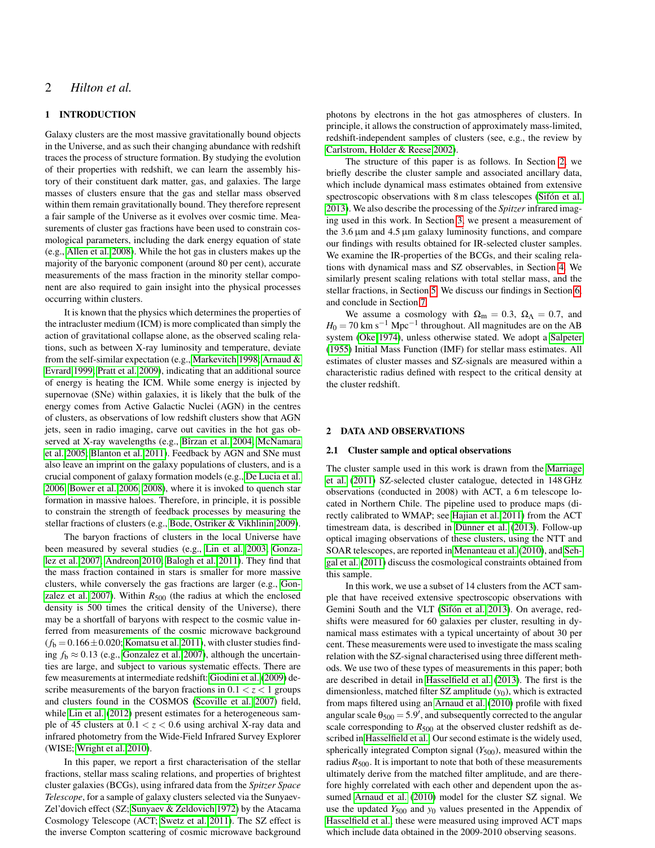# 2 *Hilton et al.*

# 1 INTRODUCTION

Galaxy clusters are the most massive gravitationally bound objects in the Universe, and as such their changing abundance with redshift traces the process of structure formation. By studying the evolution of their properties with redshift, we can learn the assembly history of their constituent dark matter, gas, and galaxies. The large masses of clusters ensure that the gas and stellar mass observed within them remain gravitationally bound. They therefore represent a fair sample of the Universe as it evolves over cosmic time. Measurements of cluster gas fractions have been used to constrain cosmological parameters, including the dark energy equation of state (e.g., [Allen et al. 2008\)](#page-10-0). While the hot gas in clusters makes up the majority of the baryonic component (around 80 per cent), accurate measurements of the mass fraction in the minority stellar component are also required to gain insight into the physical processes occurring within clusters.

It is known that the physics which determines the properties of the intracluster medium (ICM) is more complicated than simply the action of gravitational collapse alone, as the observed scaling relations, such as between X-ray luminosity and temperature, deviate from the self-similar expectation (e.g., [Markevitch 1998;](#page-11-0) [Arnaud &](#page-10-1) [Evrard 1999;](#page-10-1) [Pratt et al. 2009\)](#page-11-1), indicating that an additional source of energy is heating the ICM. While some energy is injected by supernovae (SNe) within galaxies, it is likely that the bulk of the energy comes from Active Galactic Nuclei (AGN) in the centres of clusters, as observations of low redshift clusters show that AGN jets, seen in radio imaging, carve out cavities in the hot gas observed at X-ray wavelengths (e.g., [Bîrzan et al. 2004;](#page-10-2) [McNamara](#page-11-2) [et al. 2005;](#page-11-2) [Blanton et al. 2011\)](#page-10-3). Feedback by AGN and SNe must also leave an imprint on the galaxy populations of clusters, and is a crucial component of galaxy formation models (e.g., [De Lucia et al.](#page-10-4) [2006;](#page-10-4) [Bower et al. 2006,](#page-10-5) [2008\)](#page-10-6), where it is invoked to quench star formation in massive haloes. Therefore, in principle, it is possible to constrain the strength of feedback processes by measuring the stellar fractions of clusters (e.g., [Bode, Ostriker & Vikhlinin 2009\)](#page-10-7).

The baryon fractions of clusters in the local Universe have been measured by several studies (e.g., [Lin et al. 2003;](#page-10-8) [Gonza](#page-10-9)[lez et al. 2007;](#page-10-9) [Andreon 2010;](#page-10-10) [Balogh et al. 2011\)](#page-10-11). They find that the mass fraction contained in stars is smaller for more massive clusters, while conversely the gas fractions are larger (e.g., [Gon](#page-10-9)[zalez et al. 2007\)](#page-10-9). Within  $R_{500}$  (the radius at which the enclosed density is 500 times the critical density of the Universe), there may be a shortfall of baryons with respect to the cosmic value inferred from measurements of the cosmic microwave background  $(f<sub>b</sub> = 0.166 \pm 0.020$ ; [Komatsu et al. 2011\)](#page-10-12), with cluster studies finding  $f<sub>b</sub> \approx 0.13$  (e.g., [Gonzalez et al. 2007\)](#page-10-9), although the uncertainties are large, and subject to various systematic effects. There are few measurements at intermediate redshift: [Giodini et al.](#page-10-13) [\(2009\)](#page-10-13) describe measurements of the baryon fractions in  $0.1 < z < 1$  groups and clusters found in the COSMOS [\(Scoville et al. 2007\)](#page-11-3) field, while [Lin et al.](#page-11-4) [\(2012\)](#page-11-4) present estimates for a heterogeneous sample of 45 clusters at  $0.1 < z < 0.6$  using archival X-ray data and infrared photometry from the Wide-Field Infrared Survey Explorer (WISE; [Wright et al. 2010\)](#page-11-5).

In this paper, we report a first characterisation of the stellar fractions, stellar mass scaling relations, and properties of brightest cluster galaxies (BCGs), using infrared data from the *Spitzer Space Telescope*, for a sample of galaxy clusters selected via the Sunyaev-Zel'dovich effect (SZ; [Sunyaev & Zeldovich 1972\)](#page-11-6) by the Atacama Cosmology Telescope (ACT; [Swetz et al. 2011\)](#page-11-7). The SZ effect is the inverse Compton scattering of cosmic microwave background photons by electrons in the hot gas atmospheres of clusters. In principle, it allows the construction of approximately mass-limited, redshift-independent samples of clusters (see, e.g., the review by [Carlstrom, Holder & Reese 2002\)](#page-10-14).

The structure of this paper is as follows. In Section [2,](#page-1-0) we briefly describe the cluster sample and associated ancillary data, which include dynamical mass estimates obtained from extensive spectroscopic observations with 8 m class telescopes [\(Sifón et al.](#page-11-8) [2013\)](#page-11-8). We also describe the processing of the *Spitzer* infrared imaging used in this work. In Section [3,](#page-3-0) we present a measurement of the  $3.6 \mu m$  and  $4.5 \mu m$  galaxy luminosity functions, and compare our findings with results obtained for IR-selected cluster samples. We examine the IR-properties of the BCGs, and their scaling relations with dynamical mass and SZ observables, in Section [4.](#page-5-0) We similarly present scaling relations with total stellar mass, and the stellar fractions, in Section [5.](#page-7-0) We discuss our findings in Section [6,](#page-8-0) and conclude in Section [7.](#page-9-0)

We assume a cosmology with  $\Omega_{\rm m} = 0.3$ ,  $\Omega_{\Lambda} = 0.7$ , and  $H_0 = 70$  km s<sup>-1</sup> Mpc<sup>-1</sup> throughout. All magnitudes are on the AB system [\(Oke 1974\)](#page-11-9), unless otherwise stated. We adopt a [Salpeter](#page-11-10) [\(1955\)](#page-11-10) Initial Mass Function (IMF) for stellar mass estimates. All estimates of cluster masses and SZ-signals are measured within a characteristic radius defined with respect to the critical density at the cluster redshift.

#### <span id="page-1-0"></span>2 DATA AND OBSERVATIONS

#### 2.1 Cluster sample and optical observations

The cluster sample used in this work is drawn from the [Marriage](#page-11-11) [et al.](#page-11-11) [\(2011\)](#page-11-11) SZ-selected cluster catalogue, detected in 148 GHz observations (conducted in 2008) with ACT, a 6 m telescope located in Northern Chile. The pipeline used to produce maps (directly calibrated to WMAP; see [Hajian et al. 2011\)](#page-10-15) from the ACT timestream data, is described in [Dünner et al.](#page-10-16) [\(2013\)](#page-10-16). Follow-up optical imaging observations of these clusters, using the NTT and SOAR telescopes, are reported in [Menanteau et al.](#page-11-12) [\(2010\)](#page-11-12), and [Seh](#page-11-13)[gal et al.](#page-11-13) [\(2011\)](#page-11-13) discuss the cosmological constraints obtained from this sample.

In this work, we use a subset of 14 clusters from the ACT sample that have received extensive spectroscopic observations with Gemini South and the VLT [\(Sifón et al. 2013\)](#page-11-8). On average, redshifts were measured for 60 galaxies per cluster, resulting in dynamical mass estimates with a typical uncertainty of about 30 per cent. These measurements were used to investigate the mass scaling relation with the SZ-signal characterised using three different methods. We use two of these types of measurements in this paper; both are described in detail in [Hasselfield et al.](#page-10-17) [\(2013\)](#page-10-17). The first is the dimensionless, matched filter SZ amplitude (*y*0), which is extracted from maps filtered using an [Arnaud et al.](#page-10-18) [\(2010\)](#page-10-18) profile with fixed angular scale  $\theta_{500} = 5.9'$ , and subsequently corrected to the angular scale corresponding to  $R_{500}$  at the observed cluster redshift as described in [Hasselfield et al..](#page-10-17) Our second estimate is the widely used, spherically integrated Compton signal  $(Y_{500})$ , measured within the radius  $R_{500}$ . It is important to note that both of these measurements ultimately derive from the matched filter amplitude, and are therefore highly correlated with each other and dependent upon the assumed [Arnaud et al.](#page-10-18) [\(2010\)](#page-10-18) model for the cluster SZ signal. We use the updated  $Y_{500}$  and  $y_0$  values presented in the Appendix of [Hasselfield et al.;](#page-10-17) these were measured using improved ACT maps which include data obtained in the 2009-2010 observing seasons.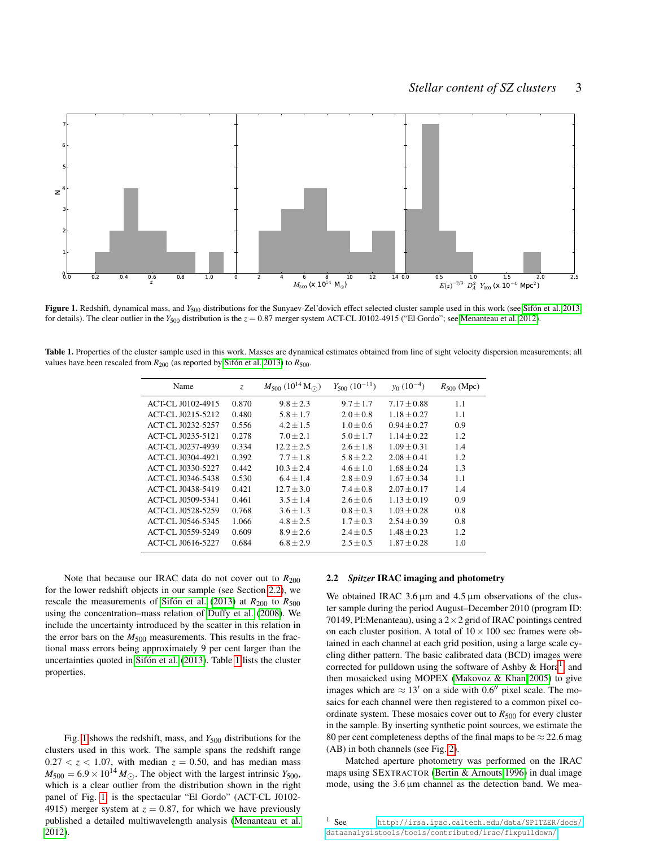

<span id="page-2-2"></span>Figure 1. Redshift, dynamical mass, and *Y<sub>500</sub>* distributions for the Sunyaev-Zel'dovich effect selected cluster sample used in this work (see [Sifón et al. 2013,](#page-11-8) for details). The clear outlier in the  $Y_{500}$  distribution is the  $z = 0.87$  merger system ACT-CL J0102-4915 ("El Gordo"; see [Menanteau et al. 2012\)](#page-11-14).

<span id="page-2-1"></span>Table 1. Properties of the cluster sample used in this work. Masses are dynamical estimates obtained from line of sight velocity dispersion measurements; all values have been rescaled from  $R_{200}$  (as reported by [Sifón et al. 2013\)](#page-11-8) to  $R_{500}$ .

| Name                     | Z.    | $M_{500}$ (10 <sup>14</sup> M <sub>O</sub> ) | $Y_{500}$ (10 <sup>-11</sup> ) | $v_0$ (10 <sup>-4</sup> ) | $R_{500}$ (Mpc) |
|--------------------------|-------|----------------------------------------------|--------------------------------|---------------------------|-----------------|
| <b>ACT-CL J0102-4915</b> | 0.870 | $9.8 + 2.3$                                  | $9.7 + 1.7$                    | $7.17 + 0.88$             | 1.1             |
| ACT-CL J0215-5212        | 0.480 | $5.8 \pm 1.7$                                | $2.0 + 0.8$                    | $1.18 + 0.27$             | 1.1             |
| ACT-CL J0232-5257        | 0.556 | $4.2 + 1.5$                                  | $1.0 + 0.6$                    | $0.94 + 0.27$             | 0.9             |
| ACT-CL J0235-5121        | 0.278 | $7.0 + 2.1$                                  | $5.0 + 1.7$                    | $1.14 + 0.22$             | 1.2             |
| ACT-CL J0237-4939        | 0.334 | $12.2 + 2.5$                                 | $2.6 + 1.8$                    | $1.09 + 0.31$             | 1.4             |
| ACT-CL J0304-4921        | 0.392 | $7.7 + 1.8$                                  | $5.8 + 2.2$                    | $2.08 + 0.41$             | 1.2             |
| <b>ACT-CL J0330-5227</b> | 0.442 | $10.3 + 2.4$                                 | $4.6 + 1.0$                    | $1.68 + 0.24$             | 1.3             |
| ACT-CL J0346-5438        | 0.530 | $6.4 + 1.4$                                  | $2.8 + 0.9$                    | $1.67 + 0.34$             | 1.1             |
| ACT-CL J0438-5419        | 0.421 | $12.7 + 3.0$                                 | $7.4 + 0.8$                    | $2.07 + 0.17$             | 1.4             |
| <b>ACT-CL J0509-5341</b> | 0.461 | $3.5 + 1.4$                                  | $2.6 + 0.6$                    | $1.13 \pm 0.19$           | 0.9             |
| ACT-CL J0528-5259        | 0.768 | $3.6 + 1.3$                                  | $0.8 + 0.3$                    | $1.03 + 0.28$             | 0.8             |
| ACT-CL J0546-5345        | 1.066 | $4.8 + 2.5$                                  | $1.7 + 0.3$                    | $2.54 + 0.39$             | 0.8             |
| ACT-CL J0559-5249        | 0.609 | $8.9 + 2.6$                                  | $2.4 + 0.5$                    | $1.48 + 0.23$             | 1.2             |
| <b>ACT-CL J0616-5227</b> | 0.684 | $6.8 + 2.9$                                  | $2.5 + 0.5$                    | $1.87 + 0.28$             | 1.0             |

Note that because our IRAC data do not cover out to  $R_{200}$ for the lower redshift objects in our sample (see Section [2.2\)](#page-2-0), we rescale the measurements of [Sifón et al.](#page-11-8) [\(2013\)](#page-11-8) at  $R_{200}$  to  $R_{500}$ using the concentration–mass relation of [Duffy et al.](#page-10-19) [\(2008\)](#page-10-19). We include the uncertainty introduced by the scatter in this relation in the error bars on the  $M_{500}$  measurements. This results in the fractional mass errors being approximately 9 per cent larger than the uncertainties quoted in [Sifón et al.](#page-11-8) [\(2013\)](#page-11-8). Table [1](#page-2-1) lists the cluster properties.

Fig. [1](#page-2-2) shows the redshift, mass, and *Y*<sup>500</sup> distributions for the clusters used in this work. The sample spans the redshift range  $0.27 < z < 1.07$ , with median  $z = 0.50$ , and has median mass  $M_{500} = 6.9 \times 10^{14} M_{\odot}$ . The object with the largest intrinsic *Y*<sub>500</sub>, which is a clear outlier from the distribution shown in the right panel of Fig. [1,](#page-2-2) is the spectacular "El Gordo" (ACT-CL J0102- 4915) merger system at  $z = 0.87$ , for which we have previously published a detailed multiwavelength analysis [\(Menanteau et al.](#page-11-14) [2012\)](#page-11-14).

#### <span id="page-2-0"></span>2.2 *Spitzer* IRAC imaging and photometry

We obtained IRAC  $3.6 \mu m$  and  $4.5 \mu m$  observations of the cluster sample during the period August–December 2010 (program ID: 70149, PI: Menanteau), using a  $2 \times 2$  grid of IRAC pointings centred on each cluster position. A total of  $10 \times 100$  sec frames were obtained in each channel at each grid position, using a large scale cycling dither pattern. The basic calibrated data (BCD) images were corrected for pulldown using the software of Ashby  $\&$  Hora<sup>[1](#page-2-3)</sup>, and then mosaicked using MOPEX [\(Makovoz & Khan 2005\)](#page-11-15) to give images which are  $\approx 13'$  on a side with 0.6<sup>0</sup> pixel scale. The mosaics for each channel were then registered to a common pixel coordinate system. These mosaics cover out to  $R_{500}$  for every cluster in the sample. By inserting synthetic point sources, we estimate the 80 per cent completeness depths of the final maps to be  $\approx$  22.6 mag (AB) in both channels (see Fig. [2\)](#page-3-1).

Matched aperture photometry was performed on the IRAC maps using SEXTRACTOR [\(Bertin & Arnouts 1996\)](#page-10-20) in dual image mode, using the  $3.6 \mu m$  channel as the detection band. We mea-

<span id="page-2-3"></span><sup>1</sup> See [http://irsa.ipac.caltech.edu/data/SPITZER/docs/](http://irsa.ipac.caltech.edu/data/SPITZER/docs/dataanalysistools/tools/contributed/irac/fixpulldown/) [dataanalysistools/tools/contributed/irac/fixpulldown/](http://irsa.ipac.caltech.edu/data/SPITZER/docs/dataanalysistools/tools/contributed/irac/fixpulldown/)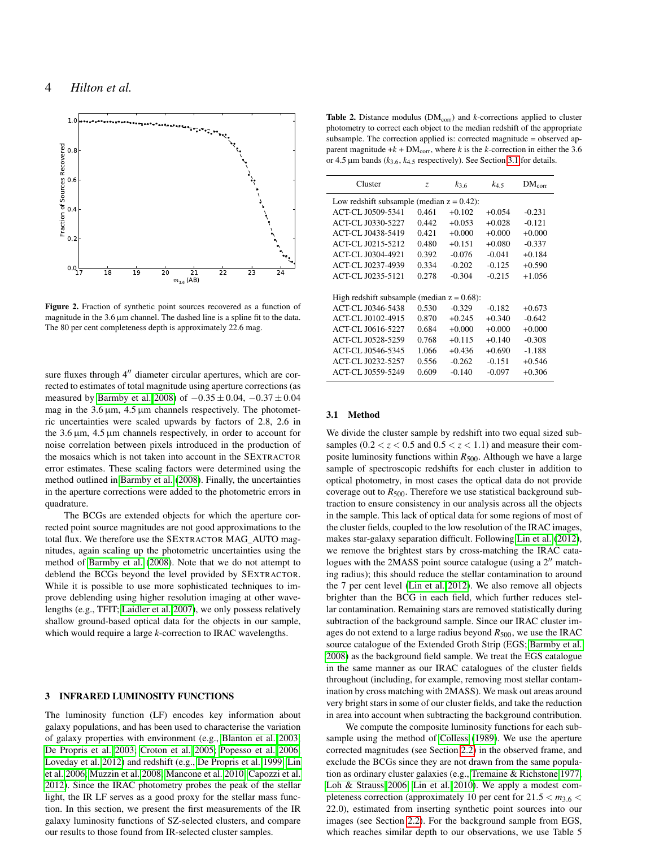

<span id="page-3-1"></span>Figure 2. Fraction of synthetic point sources recovered as a function of magnitude in the  $3.6 \mu m$  channel. The dashed line is a spline fit to the data. The 80 per cent completeness depth is approximately 22.6 mag.

sure fluxes through  $4''$  diameter circular apertures, which are corrected to estimates of total magnitude using aperture corrections (as measured by [Barmby et al. 2008\)](#page-10-21) of  $-0.35 \pm 0.04$ ,  $-0.37 \pm 0.04$ mag in the  $3.6 \mu m$ ,  $4.5 \mu m$  channels respectively. The photometric uncertainties were scaled upwards by factors of 2.8, 2.6 in the  $3.6 \,\mu m$ ,  $4.5 \,\mu m$  channels respectively, in order to account for noise correlation between pixels introduced in the production of the mosaics which is not taken into account in the SEXTRACTOR error estimates. These scaling factors were determined using the method outlined in [Barmby et al.](#page-10-21) [\(2008\)](#page-10-21). Finally, the uncertainties in the aperture corrections were added to the photometric errors in quadrature.

The BCGs are extended objects for which the aperture corrected point source magnitudes are not good approximations to the total flux. We therefore use the SEXTRACTOR MAG\_AUTO magnitudes, again scaling up the photometric uncertainties using the method of [Barmby et al.](#page-10-21) [\(2008\)](#page-10-21). Note that we do not attempt to deblend the BCGs beyond the level provided by SEXTRACTOR. While it is possible to use more sophisticated techniques to improve deblending using higher resolution imaging at other wavelengths (e.g., TFIT; [Laidler et al. 2007\)](#page-10-22), we only possess relatively shallow ground-based optical data for the objects in our sample, which would require a large *k*-correction to IRAC wavelengths.

# <span id="page-3-0"></span>3 INFRARED LUMINOSITY FUNCTIONS

The luminosity function (LF) encodes key information about galaxy populations, and has been used to characterise the variation of galaxy properties with environment (e.g., [Blanton et al. 2003;](#page-10-23) [De Propris et al. 2003;](#page-10-24) [Croton et al. 2005;](#page-10-25) [Popesso et al. 2006;](#page-11-16) [Loveday et al. 2012\)](#page-11-17) and redshift (e.g., [De Propris et al. 1999;](#page-10-26) [Lin](#page-10-27) [et al. 2006;](#page-10-27) [Muzzin et al. 2008;](#page-11-18) [Mancone et al. 2010;](#page-11-19) [Capozzi et al.](#page-10-28) [2012\)](#page-10-28). Since the IRAC photometry probes the peak of the stellar light, the IR LF serves as a good proxy for the stellar mass function. In this section, we present the first measurements of the IR galaxy luminosity functions of SZ-selected clusters, and compare our results to those found from IR-selected cluster samples.

<span id="page-3-3"></span>Table 2. Distance modulus (DM<sub>corr</sub>) and *k*-corrections applied to cluster photometry to correct each object to the median redshift of the appropriate subsample. The correction applied is: corrected magnitude = observed apparent magnitude  $+k + DM_{corr}$ , where *k* is the *k*-correction in either the 3.6 or 4.5 µm bands (*k*3.6, *k*4.<sup>5</sup> respectively). See Section [3.1](#page-3-2) for details.

| Z.                                            | $k_{3,6}$ | $k_{4.5}$ | $DM_{corr}$ |  |  |
|-----------------------------------------------|-----------|-----------|-------------|--|--|
| Low redshift subsample (median $z = 0.42$ ):  |           |           |             |  |  |
| 0.461                                         | $+0.102$  | $+0.054$  | $-0.231$    |  |  |
| 0.442                                         | $+0.053$  | $+0.028$  | $-0.121$    |  |  |
| 0.421                                         | $+0.000$  | $+0.000$  | $+0.000$    |  |  |
| 0.480                                         | $+0.151$  | $+0.080$  | $-0.337$    |  |  |
| 0.392                                         | $-0.076$  | $-0.041$  | $+0.184$    |  |  |
| 0.334                                         | $-0.202$  | $-0.125$  | $+0.590$    |  |  |
| 0.278                                         | $-0.304$  | $-0.215$  | $+1.056$    |  |  |
|                                               |           |           |             |  |  |
| High redshift subsample (median $z = 0.68$ ): |           |           |             |  |  |
| 0.530                                         | $-0.329$  | $-0.182$  | $+0.673$    |  |  |
| 0.870                                         | $+0.245$  | $+0.340$  | $-0.642$    |  |  |
| 0.684                                         | $+0.000$  | $+0.000$  | $+0.000$    |  |  |
| 0.768                                         | $+0.115$  | $+0.140$  | $-0.308$    |  |  |
| 1.066                                         | $+0.436$  | $+0.690$  | $-1.188$    |  |  |
| 0.556                                         | $-0.262$  | $-0.151$  | $+0.546$    |  |  |
| 0.609                                         | $-0.140$  | $-0.097$  | $+0.306$    |  |  |
|                                               |           |           |             |  |  |

## <span id="page-3-2"></span>3.1 Method

We divide the cluster sample by redshift into two equal sized subsamples  $(0.2 < z < 0.5$  and  $0.5 < z < 1.1$ ) and measure their composite luminosity functions within  $R_{500}$ . Although we have a large sample of spectroscopic redshifts for each cluster in addition to optical photometry, in most cases the optical data do not provide coverage out to  $R_{500}$ . Therefore we use statistical background subtraction to ensure consistency in our analysis across all the objects in the sample. This lack of optical data for some regions of most of the cluster fields, coupled to the low resolution of the IRAC images, makes star-galaxy separation difficult. Following [Lin et al.](#page-11-4) [\(2012\)](#page-11-4), we remove the brightest stars by cross-matching the IRAC catalogues with the 2MASS point source catalogue (using a  $2<sup>n</sup>$  matching radius); this should reduce the stellar contamination to around the 7 per cent level [\(Lin et al. 2012\)](#page-11-4). We also remove all objects brighter than the BCG in each field, which further reduces stellar contamination. Remaining stars are removed statistically during subtraction of the background sample. Since our IRAC cluster images do not extend to a large radius beyond  $R_{500}$ , we use the IRAC source catalogue of the Extended Groth Strip (EGS; [Barmby et al.](#page-10-21) [2008\)](#page-10-21) as the background field sample. We treat the EGS catalogue in the same manner as our IRAC catalogues of the cluster fields throughout (including, for example, removing most stellar contamination by cross matching with 2MASS). We mask out areas around very bright stars in some of our cluster fields, and take the reduction in area into account when subtracting the background contribution.

We compute the composite luminosity functions for each subsample using the method of [Colless](#page-10-29) [\(1989\)](#page-10-29). We use the aperture corrected magnitudes (see Section [2.2\)](#page-2-0) in the observed frame, and exclude the BCGs since they are not drawn from the same population as ordinary cluster galaxies (e.g., [Tremaine & Richstone 1977;](#page-11-20) [Loh & Strauss 2006;](#page-11-21) [Lin et al. 2010\)](#page-10-30). We apply a modest completeness correction (approximately 10 per cent for  $21.5 < m_{3.6} <$ 22.0), estimated from inserting synthetic point sources into our images (see Section [2.2\)](#page-2-0). For the background sample from EGS, which reaches similar depth to our observations, we use Table 5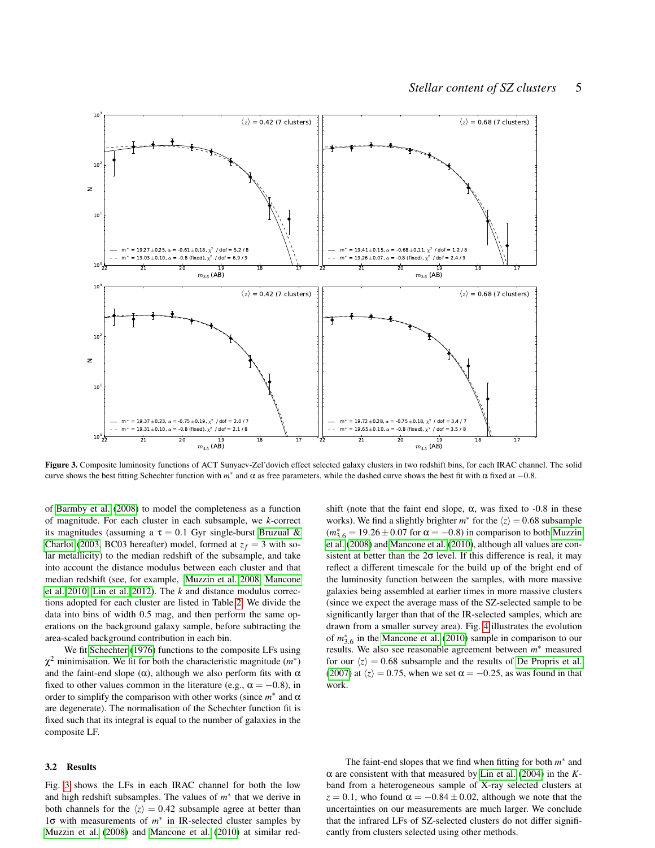

<span id="page-4-0"></span>Figure 3. Composite luminosity functions of ACT Sunyaev-Zel'dovich effect selected galaxy clusters in two redshift bins, for each IRAC channel. The solid curve shows the best fitting Schechter function with  $m^*$  and  $\alpha$  as free parameters, while the dashed curve shows the best fit with  $\alpha$  fixed at  $-0.8$ .

of [Barmby et al.](#page-10-21) [\(2008\)](#page-10-21) to model the completeness as a function of magnitude. For each cluster in each subsample, we *k*-correct its magnitudes (assuming a  $\tau = 0.1$  Gyr single-burst [Bruzual &](#page-10-31) [Charlot](#page-10-31) [\(2003,](#page-10-31) BC03 hereafter) model, formed at  $z_f = 3$  with solar metallicity) to the median redshift of the subsample, and take into account the distance modulus between each cluster and that median redshift (see, for example, [Muzzin et al. 2008;](#page-11-18) [Mancone](#page-11-19) [et al. 2010;](#page-11-19) [Lin et al. 2012\)](#page-11-4). The *k* and distance modulus corrections adopted for each cluster are listed in Table [2.](#page-3-3) We divide the data into bins of width 0.5 mag, and then perform the same operations on the background galaxy sample, before subtracting the area-scaled background contribution in each bin.

We fit [Schechter](#page-11-22) [\(1976\)](#page-11-22) functions to the composite LFs using  $\chi^2$  minimisation. We fit for both the characteristic magnitude  $(m^*)$ and the faint-end slope ( $\alpha$ ), although we also perform fits with  $\alpha$ fixed to other values common in the literature (e.g.,  $\alpha = -0.8$ ), in order to simplify the comparison with other works (since  $m^*$  and  $\alpha$ are degenerate). The normalisation of the Schechter function fit is fixed such that its integral is equal to the number of galaxies in the composite LF.

## 3.2 Results

Fig. [3](#page-4-0) shows the LFs in each IRAC channel for both the low and high redshift subsamples. The values of  $m^*$  that we derive in both channels for the  $\langle z \rangle = 0.42$  subsample agree at better than 1σ with measurements of *m* ∗ in IR-selected cluster samples by [Muzzin et al.](#page-11-18) [\(2008\)](#page-11-18) and [Mancone et al.](#page-11-19) [\(2010\)](#page-11-19) at similar redshift (note that the faint end slope,  $\alpha$ , was fixed to -0.8 in these works). We find a slightly brighter  $m^*$  for the  $\langle z \rangle = 0.68$  subsample  $(m_{3.6}^* = 19.26 \pm 0.07$  for  $\alpha = -0.8$ ) in comparison to both [Muzzin](#page-11-18) [et al.](#page-11-18) [\(2008\)](#page-11-18) and [Mancone et al.](#page-11-19) [\(2010\)](#page-11-19), although all values are consistent at better than the  $2\sigma$  level. If this difference is real, it may reflect a different timescale for the build up of the bright end of the luminosity function between the samples, with more massive galaxies being assembled at earlier times in more massive clusters (since we expect the average mass of the SZ-selected sample to be significantly larger than that of the IR-selected samples, which are drawn from a smaller survey area). Fig. [4](#page-5-1) illustrates the evolution of  $m_{3.6}^*$  in the [Mancone et al.](#page-11-19) [\(2010\)](#page-11-19) sample in comparison to our results. We also see reasonable agreement between  $m^*$  measured for our  $\langle z \rangle = 0.68$  subsample and the results of [De Propris et al.](#page-10-32) [\(2007\)](#page-10-32) at  $\langle z \rangle = 0.75$ , when we set  $\alpha = -0.25$ , as was found in that work.

The faint-end slopes that we find when fitting for both  $m^*$  and α are consistent with that measured by [Lin et al.](#page-10-33) [\(2004\)](#page-10-33) in the *K*band from a heterogeneous sample of X-ray selected clusters at  $z = 0.1$ , who found  $\alpha = -0.84 \pm 0.02$ , although we note that the uncertainties on our measurements are much larger. We conclude that the infrared LFs of SZ-selected clusters do not differ significantly from clusters selected using other methods.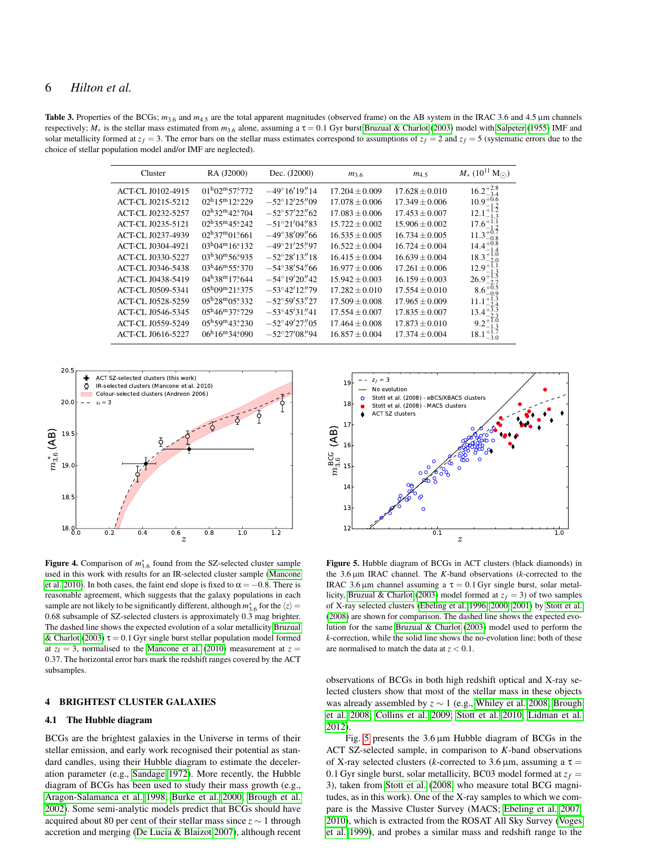# 6 *Hilton et al.*

<span id="page-5-3"></span>Table 3. Properties of the BCGs;  $m_{3.6}$  and  $m_{4.5}$  are the total apparent magnitudes (observed frame) on the AB system in the IRAC 3.6 and 4.5 µm channels respectively;  $M_*$  is the stellar mass estimated from  $m_{3.6}$  alone, assuming a  $\tau = 0.1$  Gyr burst [Bruzual & Charlot](#page-10-31) [\(2003\)](#page-10-31) model with [Salpeter](#page-11-10) [\(1955\)](#page-11-10) IMF and solar metallicity formed at  $z_f = 3$ . The error bars on the stellar mass estimates correspond to assumptions of  $z_f = 2$  and  $z_f = 5$  (systematic errors due to the choice of stellar population model and/or IMF are neglected).

| Cluster           | RA (J2000)                                  | Dec. (J2000)           | $m_{3,6}$          | $m_{4.5}$          | $M_*$ (10 <sup>11</sup> M <sub>(c)</sub> )       |
|-------------------|---------------------------------------------|------------------------|--------------------|--------------------|--------------------------------------------------|
| ACT-CL J0102-4915 | $01^{\rm h}02^{\rm m}57\rlap{.}^{\rm s}772$ | $-49^{\circ}16'19''14$ | $17.204 \pm 0.009$ | $17.628 \pm 0.010$ | $16.2^{+2.8}_{-3.4}_{-3.4}_{10.9^{+0.6}_{-1.2}}$ |
| ACT-CL J0215-5212 | $02^{\rm h}15^{\rm m}12^{\rm s}229$         | $-52^{\circ}12'25''09$ | $17.078 \pm 0.006$ | $17.349 \pm 0.006$ |                                                  |
| ACT-CL J0232-5257 | $02^{\rm h}32^{\rm m}42\rlap{.}^{\rm s}704$ | $-52^{\circ}57'22''62$ | $17.083 \pm 0.006$ | $17.453 \pm 0.007$ | $12.1^{+1.2}_{-1.3}$                             |
| ACT-CL J0235-5121 | $02^{\rm h}35^{\rm m}45^{\rm s}242$         | $-51^{\circ}21'04''83$ | $15.722 + 0.002$   | $15.906 \pm 0.002$ | $17.6^{+1.1}_{-1.2}$                             |
| ACT-CL J0237-4939 | $02^{\rm h}37^{\rm m}01\,{}^{\rm s}661$     | $-49^{\circ}38'09''66$ | $16.535 \pm 0.005$ | $16.734 \pm 0.005$ | $11.3^{+0.7}_{-0.8}_{-0.8}_{14.4^{+0.8}_{-1.4}}$ |
| ACT-CL J0304-4921 | $03^{\rm h}04^{\rm m}16^{\rm s}132$         | $-49^{\circ}21'25''97$ | $16.522 + 0.004$   | $16.724 \pm 0.004$ |                                                  |
| ACT-CL J0330-5227 | $03^{\rm h}30^{\rm m}56^{\rm s}935$         | $-52^{\circ}28'13''18$ | $16.415 + 0.004$   | $16.639 \pm 0.004$ | $18.3^{+1.0}_{-2.0}$                             |
| ACT-CL J0346-5438 | $03^{\rm h}46^{\rm m}55\rlap{.}^{\rm s}370$ | $-54^{\circ}38'54''66$ | $16.977 \pm 0.006$ | $17.261 \pm 0.006$ | $12.9^{+1.1}_{-1.3}$                             |
| ACT-CL J0438-5419 | $04^{\rm h}38^{\rm m}17\rlap{.}^{\rm s}644$ | $-54^{\circ}19'20''42$ | $15.942 \pm 0.003$ | $16.159 \pm 0.003$ | $26.9^{+1.5}_{-2.7}$                             |
| ACT-CL J0509-5341 | $05^{h}09^{m}21\overset{s}{.}375$           | $-53^{\circ}42'12''79$ | $17.282 + 0.010$   | $17.554 \pm 0.010$ | $8.6^{+0.5}_{-0.9}$                              |
| ACT-CL J0528-5259 | $0.5^{\rm h}28^{\rm m}0.5^{\rm s}332$       | $-52^{\circ}59'53''27$ | $17.509 \pm 0.008$ | $17.965 \pm 0.009$ | $11.1^{+1.3}_{-2.4}$                             |
| ACT-CL J0546-5345 | $05^{\rm h}46^{\rm m}37\rlap{.}^{\rm s}729$ | $-53^{\circ}45'31''41$ | $17.554 \pm 0.007$ | $17.835 \pm 0.007$ | $13.4^{+5.3}_{-2.3}$                             |
| ACT-CL J0559-5249 | $0.5^{\rm h}59^{\rm m}43.5230$              | $-52^{\circ}49'27''05$ | $17.464 + 0.008$   | $17.873 \pm 0.010$ | $9.2^{+1.0}_{-1.3}$                              |
| ACT-CL J0616-5227 | $06^{\rm h}16^{\rm m}34\rlap{.}^{\rm s}090$ | $-52^{\circ}27'08''94$ | $16.857 \pm 0.004$ | $17.374 \pm 0.004$ | $18.1^{+1.7}_{-3.0}$                             |



<span id="page-5-1"></span>Figure 4. Comparison of  $m_{3,6}^*$  found from the SZ-selected cluster sample used in this work with results for an IR-selected cluster sample [\(Mancone](#page-11-19) [et al. 2010\)](#page-11-19). In both cases, the faint end slope is fixed to  $\alpha = -0.8$ . There is reasonable agreement, which suggests that the galaxy populations in each sample are not likely to be significantly different, although  $m^*_{3.6}$  for the  $\langle z \rangle =$ 0.68 subsample of SZ-selected clusters is approximately 0.3 mag brighter. The dashed line shows the expected evolution of a solar metallicity [Bruzual](#page-10-31) [& Charlot](#page-10-31) [\(2003\)](#page-10-31)  $\tau = 0.1$  Gyr single burst stellar population model formed at  $z_f = 3$ , normalised to the [Mancone et al.](#page-11-19) [\(2010\)](#page-11-19) measurement at  $z =$ 0.37. The horizontal error bars mark the redshift ranges covered by the ACT subsamples.

## <span id="page-5-0"></span>4 BRIGHTEST CLUSTER GALAXIES

#### 4.1 The Hubble diagram

BCGs are the brightest galaxies in the Universe in terms of their stellar emission, and early work recognised their potential as standard candles, using their Hubble diagram to estimate the deceleration parameter (e.g., [Sandage 1972\)](#page-11-23). More recently, the Hubble diagram of BCGs has been used to study their mass growth (e.g., [Aragon-Salamanca et al. 1998;](#page-10-34) [Burke et al. 2000;](#page-10-35) [Brough et al.](#page-10-36) [2002\)](#page-10-36). Some semi-analytic models predict that BCGs should have acquired about 80 per cent of their stellar mass since *z* ∼ 1 through accretion and merging [\(De Lucia & Blaizot 2007\)](#page-10-37), although recent



<span id="page-5-2"></span>Figure 5. Hubble diagram of BCGs in ACT clusters (black diamonds) in the 3.6 µm IRAC channel. The *K*-band observations (*k*-corrected to the IRAC 3.6 μm channel assuming a  $\tau = 0.1$  Gyr single burst, solar metal-licity, [Bruzual & Charlot](#page-10-31) [\(2003\)](#page-10-31) model formed at  $z_f = 3$ ) of two samples of X-ray selected clusters [\(Ebeling et al. 1996,](#page-10-38) [2000,](#page-10-39) [2001\)](#page-10-40) by [Stott et al.](#page-11-24) [\(2008\)](#page-11-24) are shown for comparison. The dashed line shows the expected evolution for the same [Bruzual & Charlot](#page-10-31) [\(2003\)](#page-10-31) model used to perform the *k*-correction, while the solid line shows the no-evolution line; both of these are normalised to match the data at *z* < 0.1.

observations of BCGs in both high redshift optical and X-ray selected clusters show that most of the stellar mass in these objects was already assembled by *z* ∼ 1 (e.g., [Whiley et al. 2008;](#page-11-25) [Brough](#page-10-41) [et al. 2008;](#page-10-41) [Collins et al. 2009;](#page-10-42) [Stott et al. 2010;](#page-11-26) [Lidman et al.](#page-10-43) [2012\)](#page-10-43).

Fig. [5](#page-5-2) presents the  $3.6 \mu m$  Hubble diagram of BCGs in the ACT SZ-selected sample, in comparison to *K*-band observations of X-ray selected clusters (*k*-corrected to 3.6  $\mu$ m, assuming a  $\tau$  = 0.1 Gyr single burst, solar metallicity, BC03 model formed at  $z_f$  = 3), taken from [Stott et al.](#page-11-24) [\(2008,](#page-11-24) who measure total BCG magnitudes, as in this work). One of the X-ray samples to which we compare is the Massive Cluster Survey (MACS; [Ebeling et al. 2007,](#page-10-44) [2010\)](#page-10-45), which is extracted from the ROSAT All Sky Survey [\(Voges](#page-11-27) [et al. 1999\)](#page-11-27), and probes a similar mass and redshift range to the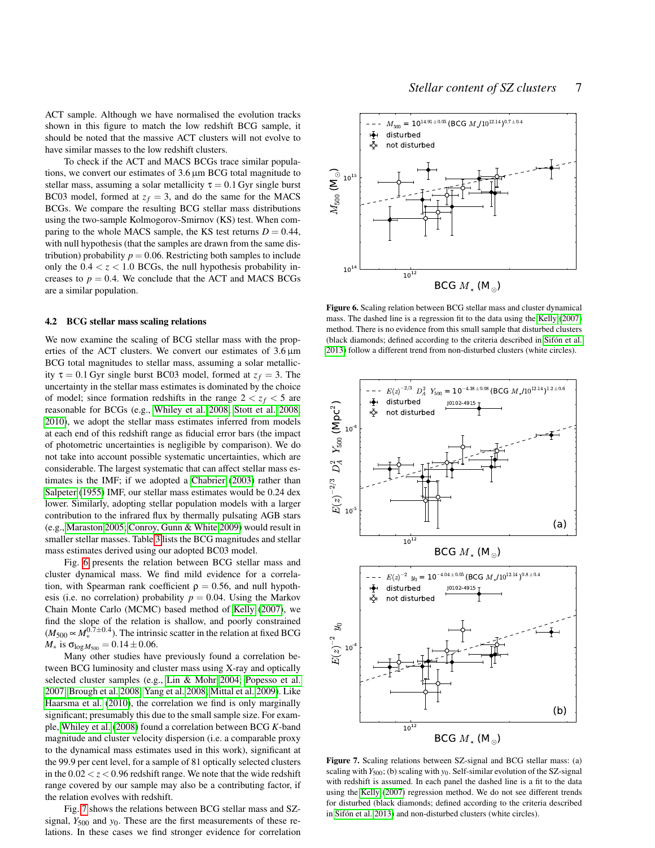To check if the ACT and MACS BCGs trace similar populations, we convert our estimates of 3.6 µm BCG total magnitude to stellar mass, assuming a solar metallicity  $\tau = 0.1$  Gyr single burst BC03 model, formed at  $z_f = 3$ , and do the same for the MACS BCGs. We compare the resulting BCG stellar mass distributions using the two-sample Kolmogorov-Smirnov (KS) test. When comparing to the whole MACS sample, the KS test returns  $D = 0.44$ , with null hypothesis (that the samples are drawn from the same distribution) probability  $p = 0.06$ . Restricting both samples to include only the  $0.4 < z < 1.0$  BCGs, the null hypothesis probability increases to  $p = 0.4$ . We conclude that the ACT and MACS BCGs are a similar population.

#### <span id="page-6-2"></span>4.2 BCG stellar mass scaling relations

We now examine the scaling of BCG stellar mass with the properties of the ACT clusters. We convert our estimates of  $3.6 \,\mu m$ BCG total magnitudes to stellar mass, assuming a solar metallicity  $\tau = 0.1$  Gyr single burst BC03 model, formed at  $z_f = 3$ . The uncertainty in the stellar mass estimates is dominated by the choice of model; since formation redshifts in the range  $2 < z_f < 5$  are reasonable for BCGs (e.g., [Whiley et al. 2008;](#page-11-25) [Stott et al. 2008,](#page-11-24) [2010\)](#page-11-26), we adopt the stellar mass estimates inferred from models at each end of this redshift range as fiducial error bars (the impact of photometric uncertainties is negligible by comparison). We do not take into account possible systematic uncertainties, which are considerable. The largest systematic that can affect stellar mass estimates is the IMF; if we adopted a [Chabrier](#page-10-46) [\(2003\)](#page-10-46) rather than [Salpeter](#page-11-10) [\(1955\)](#page-11-10) IMF, our stellar mass estimates would be 0.24 dex lower. Similarly, adopting stellar population models with a larger contribution to the infrared flux by thermally pulsating AGB stars (e.g., [Maraston 2005;](#page-11-28) [Conroy, Gunn & White 2009\)](#page-10-47) would result in smaller stellar masses. Table [3](#page-5-3) lists the BCG magnitudes and stellar mass estimates derived using our adopted BC03 model.

Fig. [6](#page-6-0) presents the relation between BCG stellar mass and cluster dynamical mass. We find mild evidence for a correlation, with Spearman rank coefficient  $\rho = 0.56$ , and null hypothesis (i.e. no correlation) probability  $p = 0.04$ . Using the Markov Chain Monte Carlo (MCMC) based method of [Kelly](#page-10-48) [\(2007\)](#page-10-48), we find the slope of the relation is shallow, and poorly constrained  $(M_{500} \propto M_{*}^{0.7 \pm 0.4})$ . The intrinsic scatter in the relation at fixed BCG  $M_*$  is  $\sigma_{\log M_{500}} = 0.14 \pm 0.06$ .

Many other studies have previously found a correlation between BCG luminosity and cluster mass using X-ray and optically selected cluster samples (e.g., [Lin & Mohr 2004;](#page-10-49) [Popesso et al.](#page-11-29) [2007;](#page-11-29) [Brough et al. 2008;](#page-10-41) [Yang et al. 2008;](#page-11-30) [Mittal et al. 2009\)](#page-11-31). Like [Haarsma et al.](#page-10-50) [\(2010\)](#page-10-50), the correlation we find is only marginally significant; presumably this due to the small sample size. For example, [Whiley et al.](#page-11-25) [\(2008\)](#page-11-25) found a correlation between BCG *K*-band magnitude and cluster velocity dispersion (i.e. a comparable proxy to the dynamical mass estimates used in this work), significant at the 99.9 per cent level, for a sample of 81 optically selected clusters in the  $0.02 < z < 0.96$  redshift range. We note that the wide redshift range covered by our sample may also be a contributing factor, if the relation evolves with redshift.

Fig. [7](#page-6-1) shows the relations between BCG stellar mass and SZsignal, *Y*<sub>500</sub> and *y*<sub>0</sub>. These are the first measurements of these relations. In these cases we find stronger evidence for correlation



<span id="page-6-0"></span>Figure 6. Scaling relation between BCG stellar mass and cluster dynamical mass. The dashed line is a regression fit to the data using the [Kelly](#page-10-48) [\(2007\)](#page-10-48) method. There is no evidence from this small sample that disturbed clusters (black diamonds; defined according to the criteria described in [Sifón et al.](#page-11-8) [2013\)](#page-11-8) follow a different trend from non-disturbed clusters (white circles).



<span id="page-6-1"></span>Figure 7. Scaling relations between SZ-signal and BCG stellar mass: (a) scaling with *Y*500; (b) scaling with *y*0. Self-similar evolution of the SZ-signal with redshift is assumed. In each panel the dashed line is a fit to the data using the [Kelly](#page-10-48) [\(2007\)](#page-10-48) regression method. We do not see different trends for disturbed (black diamonds; defined according to the criteria described in [Sifón et al. 2013\)](#page-11-8) and non-disturbed clusters (white circles).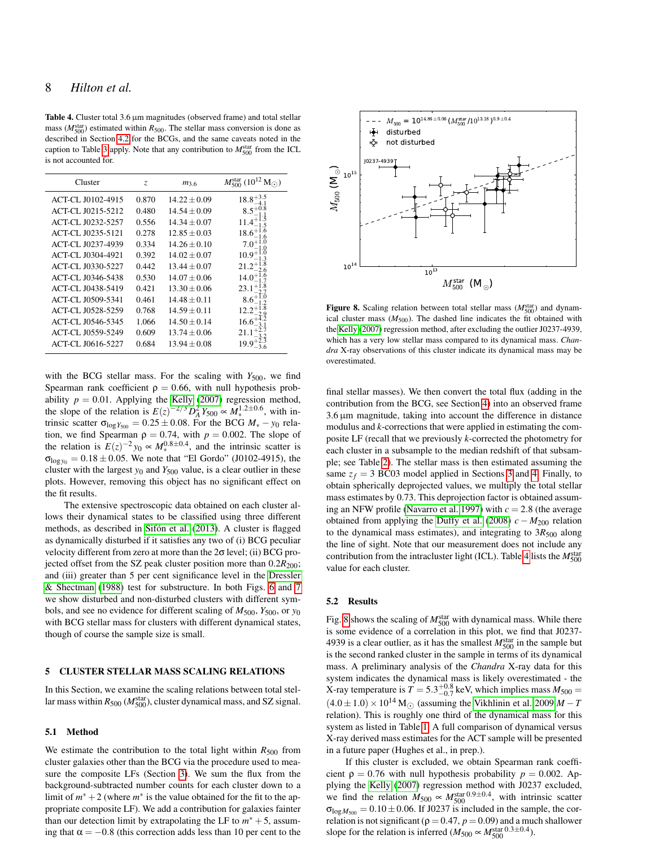<span id="page-7-1"></span>Table 4. Cluster total 3.6 µm magnitudes (observed frame) and total stellar mass ( $M_{500}^{\text{star}}$ ) estimated within  $R_{500}$ . The stellar mass conversion is done as described in Section [4.2](#page-6-2) for the BCGs, and the same caveats noted in the caption to Table [3](#page-5-3) apply. Note that any contribution to  $M_{500}^{\text{star}}$  from the ICL is not accounted for.

| Cluster                  | Z.    | $m_{3.6}$        | $M_{500}^{\rm star}$ (10 <sup>12</sup> ) |
|--------------------------|-------|------------------|------------------------------------------|
| <b>ACT-CL J0102-4915</b> | 0.870 | $14.22 \pm 0.09$ | $18.8^{+3.5}_{-4.1}$                     |
| <b>ACT-CL J0215-5212</b> | 0.480 | $14.54 \pm 0.09$ |                                          |
| <b>ACT-CL J0232-5257</b> | 0.556 | $14.34 + 0.07$   | 11.4 <sup>+1</sup>                       |
| <b>ACT-CL J0235-5121</b> | 0.278 | $12.85 + 0.03$   | $18.6^{\circ}$                           |
| <b>ACT-CL J0237-4939</b> | 0.334 | $14.26 + 0.10$   |                                          |
| <b>ACT-CL J0304-4921</b> | 0.392 | $14.02 \pm 0.07$ | 10.9                                     |
| <b>ACT-CL J0330-5227</b> | 0.442 | $13.44 \pm 0.07$ |                                          |
| <b>ACT-CL J0346-5438</b> | 0.530 | $14.07 \pm 0.06$ | 14.0                                     |
| <b>ACT-CL J0438-5419</b> | 0.421 | $13.30 + 0.06$   | 23.1                                     |
| ACT-CL J0509-5341        | 0.461 | $14.48 + 0.11$   | $8.6^+$                                  |
| <b>ACT-CL J0528-5259</b> | 0.768 | $14.59 \pm 0.11$ | $12.2^+$                                 |
| ACT-CL J0546-5345        | 1.066 | $14.50 \pm 0.14$ | 16.61                                    |
| ACT-CL J0559-5249        | 0.609 | $13.74 \pm 0.06$ |                                          |
| ACT-CL J0616-5227        | 0.684 | $13.94 + 0.08$   |                                          |

with the BCG stellar mass. For the scaling with  $Y_{500}$ , we find Spearman rank coefficient  $\rho = 0.66$ , with null hypothesis probability  $p = 0.01$ . Applying the [Kelly](#page-10-48) [\(2007\)](#page-10-48) regression method, the slope of the relation is  $E(z)^{-2/3} D_A^2 Y_{500} \propto M_*^{1.2 \pm 0.6}$ , with intrinsic scatter  $\sigma_{\log Y_{500}} = 0.25 \pm 0.08$ . For the BCG  $M_* - y_0$  relation, we find Spearman  $\rho = 0.74$ , with  $p = 0.002$ . The slope of the relation is  $E(z)^{-2}y_0 \propto M_*^{0.8 \pm 0.4}$ , and the intrinsic scatter is  $\sigma_{\log y_0} = 0.18 \pm 0.05$ . We note that "El Gordo" (J0102-4915), the cluster with the largest  $y_0$  and  $Y_{500}$  value, is a clear outlier in these plots. However, removing this object has no significant effect on the fit results.

The extensive spectroscopic data obtained on each cluster allows their dynamical states to be classified using three different methods, as described in [Sifón et al.](#page-11-8) [\(2013\)](#page-11-8). A cluster is flagged as dynamically disturbed if it satisfies any two of (i) BCG peculiar velocity different from zero at more than the 2σ level; (ii) BCG projected offset from the SZ peak cluster position more than  $0.2R_{200}$ ; and (iii) greater than 5 per cent significance level in the [Dressler](#page-10-51) [& Shectman](#page-10-51) [\(1988\)](#page-10-51) test for substructure. In both Figs. [6](#page-6-0) and [7](#page-6-1) we show disturbed and non-disturbed clusters with different symbols, and see no evidence for different scaling of *M*500, *Y*500, or *y*<sup>0</sup> with BCG stellar mass for clusters with different dynamical states, though of course the sample size is small.

#### <span id="page-7-0"></span>5 CLUSTER STELLAR MASS SCALING RELATIONS

In this Section, we examine the scaling relations between total stellar mass within  $R_{500}$  ( $M_{500}^{\text{star}}$ ), cluster dynamical mass, and SZ signal.

#### 5.1 Method

We estimate the contribution to the total light within  $R_{500}$  from cluster galaxies other than the BCG via the procedure used to measure the composite LFs (Section [3\)](#page-3-0). We sum the flux from the background-subtracted number counts for each cluster down to a limit of  $m^* + 2$  (where  $m^*$  is the value obtained for the fit to the appropriate composite LF). We add a contribution for galaxies fainter than our detection limit by extrapolating the LF to  $m^* + 5$ , assuming that  $\alpha = -0.8$  (this correction adds less than 10 per cent to the



<span id="page-7-2"></span>Figure 8. Scaling relation between total stellar mass ( $M_{500}^{\text{star}}$ ) and dynamical cluster mass  $(M_{500})$ . The dashed line indicates the fit obtained with the [Kelly](#page-10-48) [\(2007\)](#page-10-48) regression method, after excluding the outlier J0237-4939, which has a very low stellar mass compared to its dynamical mass. *Chandra* X-ray observations of this cluster indicate its dynamical mass may be overestimated.

final stellar masses). We then convert the total flux (adding in the contribution from the BCG, see Section [4\)](#page-5-0) into an observed frame 3.6 µm magnitude, taking into account the difference in distance modulus and *k*-corrections that were applied in estimating the composite LF (recall that we previously *k*-corrected the photometry for each cluster in a subsample to the median redshift of that subsample; see Table [2\)](#page-3-3). The stellar mass is then estimated assuming the same  $z_f = 3$  $z_f = 3$  BC03 model applied in Sections 3 and [4.](#page-5-0) Finally, to obtain spherically deprojected values, we multiply the total stellar mass estimates by 0.73. This deprojection factor is obtained assuming an NFW profile [\(Navarro et al. 1997\)](#page-11-32) with *c* = 2.8 (the average obtained from applying the [Duffy et al.](#page-10-19) [\(2008\)](#page-10-19)  $c - M_{200}$  relation to the dynamical mass estimates), and integrating to  $3R_{500}$  along the line of sight. Note that our measurement does not include any contribution from the intracluster light (ICL). Table [4](#page-7-1) lists the  $M_{500}^{\text{star}}$ value for each cluster.

# <span id="page-7-3"></span>5.2 Results

Fig. [8](#page-7-2) shows the scaling of  $M_{500}^{\text{star}}$  with dynamical mass. While there is some evidence of a correlation in this plot, we find that J0237- 4939 is a clear outlier, as it has the smallest  $M_{500}^{\text{star}}$  in the sample but is the second ranked cluster in the sample in terms of its dynamical mass. A preliminary analysis of the *Chandra* X-ray data for this system indicates the dynamical mass is likely overestimated - the X-ray temperature is  $T = 5.3^{+0.8}_{-0.7}$  keV, which implies mass  $M_{500} =$  $(4.0 \pm 1.0) \times 10^{14}$  M<sub>(</sub> $\Omega$ ) (assuming the [Vikhlinin et al. 2009](#page-11-33) *M* − *T* relation). This is roughly one third of the dynamical mass for this system as listed in Table [1.](#page-2-1) A full comparison of dynamical versus X-ray derived mass estimates for the ACT sample will be presented in a future paper (Hughes et al., in prep.).

If this cluster is excluded, we obtain Spearman rank coefficient  $\rho = 0.76$  with null hypothesis probability  $p = 0.002$ . Applying the [Kelly](#page-10-48) [\(2007\)](#page-10-48) regression method with J0237 excluded, we find the relation  $M_{500} \propto M_{500}^{\text{star}}$  0.9±0.4, with intrinsic scatter  $\sigma_{\log M_{500}} = 0.10 \pm 0.06$ . If J0237 is included in the sample, the correlation is not significant ( $\rho = 0.47$ ,  $p = 0.09$ ) and a much shallower slope for the relation is inferred ( $M_{500} \propto M_{500}^{\text{star }0.3 \pm 0.4}$ ).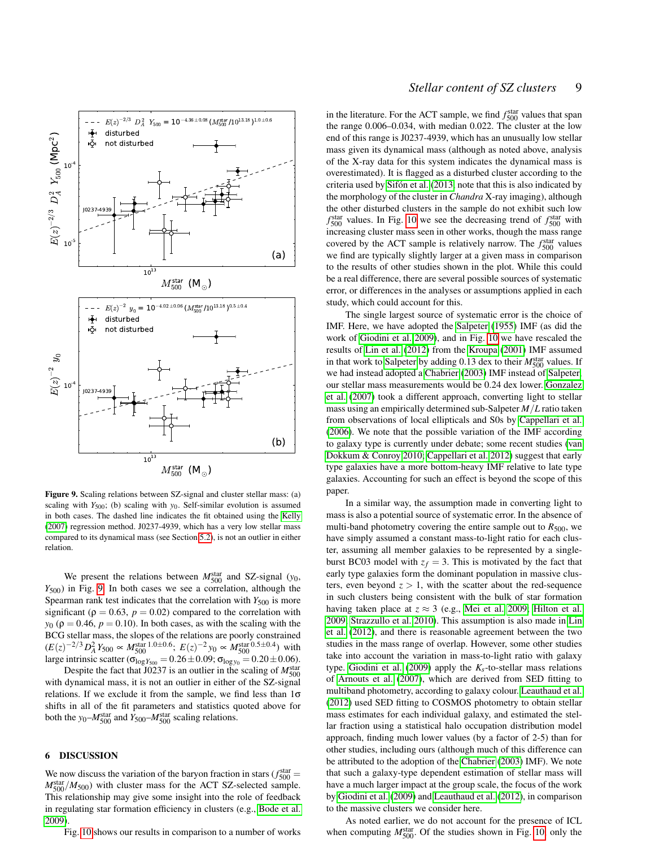

<span id="page-8-1"></span>Figure 9. Scaling relations between SZ-signal and cluster stellar mass: (a) scaling with *Y*<sub>500</sub>; (b) scaling with *y*<sub>0</sub>. Self-similar evolution is assumed in both cases. The dashed line indicates the fit obtained using the [Kelly](#page-10-48) [\(2007\)](#page-10-48) regression method. J0237-4939, which has a very low stellar mass compared to its dynamical mass (see Section [5.2\)](#page-7-3), is not an outlier in either relation.

We present the relations between  $M_{500}^{\text{star}}$  and SZ-signal ( $y_0$ , *Y*500) in Fig. [9.](#page-8-1) In both cases we see a correlation, although the Spearman rank test indicates that the correlation with *Y*<sub>500</sub> is more significant ( $\rho = 0.63$ ,  $p = 0.02$ ) compared to the correlation with  $y_0$  ( $\rho = 0.46$ ,  $p = 0.10$ ). In both cases, as with the scaling with the BCG stellar mass, the slopes of the relations are poorly constrained  $(E(z)^{-2/3} D_A^2 Y_{500} \propto M_{500}^{\text{star}}$  1.0±0.6;  $E(z)^{-2} y_0 \propto M_{500}^{\text{star}}$  0.5±0.4) with large intrinsic scatter ( $\sigma_{\log Y_{500}} = 0.26 \pm 0.09$ ;  $\sigma_{\log y_0} = 0.20 \pm 0.06$ ).

Despite the fact that  $J0237$  is an outlier in the scaling of  $M_{500}^{\text{star}}$ with dynamical mass, it is not an outlier in either of the SZ-signal relations. If we exclude it from the sample, we find less than  $1\sigma$ shifts in all of the fit parameters and statistics quoted above for both the  $y_0$ – $M_{500}$  and  $Y_{500}$ – $M_{500}$  scaling relations.

## <span id="page-8-0"></span>6 DISCUSSION

We now discuss the variation of the baryon fraction in stars ( $f_{500}^{\text{star}}$  $M_{500}^{\text{star}}/M_{500}$ ) with cluster mass for the ACT SZ-selected sample. This relationship may give some insight into the role of feedback in regulating star formation efficiency in clusters (e.g., [Bode et al.](#page-10-7) [2009\)](#page-10-7).

Fig. [10](#page-9-1) shows our results in comparison to a number of works

in the literature. For the ACT sample, we find  $f_{500}^{\text{star}}$  values that span the range 0.006–0.034, with median 0.022. The cluster at the low end of this range is J0237-4939, which has an unusually low stellar mass given its dynamical mass (although as noted above, analysis of the X-ray data for this system indicates the dynamical mass is overestimated). It is flagged as a disturbed cluster according to the criteria used by [Sifón et al.](#page-11-8) [\(2013,](#page-11-8) note that this is also indicated by the morphology of the cluster in *Chandra* X-ray imaging), although the other disturbed clusters in the sample do not exhibit such low  $f_{500}$  values. In Fig. [10](#page-9-1) we see the decreasing trend of  $f_{500}$  with increasing cluster mass seen in other works, though the mass range covered by the ACT sample is relatively narrow. The  $f_{500}^{\text{star}}$  values we find are typically slightly larger at a given mass in comparison to the results of other studies shown in the plot. While this could be a real difference, there are several possible sources of systematic error, or differences in the analyses or assumptions applied in each study, which could account for this.

The single largest source of systematic error is the choice of IMF. Here, we have adopted the [Salpeter](#page-11-10) [\(1955\)](#page-11-10) IMF (as did the work of [Giodini et al. 2009\)](#page-10-13), and in Fig. [10](#page-9-1) we have rescaled the results of [Lin et al.](#page-11-4) [\(2012\)](#page-11-4) from the [Kroupa](#page-10-52) [\(2001\)](#page-10-52) IMF assumed in that work to [Salpeter](#page-11-10) by adding  $0.13$  dex to their  $M_{500}^{\text{star}}$  values. If we had instead adopted a [Chabrier](#page-10-46) [\(2003\)](#page-10-46) IMF instead of [Salpeter,](#page-11-10) our stellar mass measurements would be 0.24 dex lower. [Gonzalez](#page-10-9) [et al.](#page-10-9) [\(2007\)](#page-10-9) took a different approach, converting light to stellar mass using an empirically determined sub-Salpeter *M*/*L* ratio taken from observations of local ellipticals and S0s by [Cappellari et al.](#page-10-53) [\(2006\)](#page-10-53). We note that the possible variation of the IMF according to galaxy type is currently under debate; some recent studies [\(van](#page-11-34) [Dokkum & Conroy 2010;](#page-11-34) [Cappellari et al. 2012\)](#page-10-54) suggest that early type galaxies have a more bottom-heavy IMF relative to late type galaxies. Accounting for such an effect is beyond the scope of this paper.

In a similar way, the assumption made in converting light to mass is also a potential source of systematic error. In the absence of multi-band photometry covering the entire sample out to  $R_{500}$ , we have simply assumed a constant mass-to-light ratio for each cluster, assuming all member galaxies to be represented by a singleburst BC03 model with  $z_f = 3$ . This is motivated by the fact that early type galaxies form the dominant population in massive clusters, even beyond  $z > 1$ , with the scatter about the red-sequence in such clusters being consistent with the bulk of star formation having taken place at  $z \approx 3$  (e.g., [Mei et al. 2009;](#page-11-35) [Hilton et al.](#page-10-55) [2009;](#page-10-55) [Strazzullo et al. 2010\)](#page-11-36). This assumption is also made in [Lin](#page-11-4) [et al.](#page-11-4) [\(2012\)](#page-11-4), and there is reasonable agreement between the two studies in the mass range of overlap. However, some other studies take into account the variation in mass-to-light ratio with galaxy type. [Giodini et al.](#page-10-13) [\(2009\)](#page-10-13) apply the *Ks*-to-stellar mass relations of [Arnouts et al.](#page-10-56) [\(2007\)](#page-10-56), which are derived from SED fitting to multiband photometry, according to galaxy colour. [Leauthaud et al.](#page-10-57) [\(2012\)](#page-10-57) used SED fitting to COSMOS photometry to obtain stellar mass estimates for each individual galaxy, and estimated the stellar fraction using a statistical halo occupation distribution model approach, finding much lower values (by a factor of 2-5) than for other studies, including ours (although much of this difference can be attributed to the adoption of the [Chabrier](#page-10-46) [\(2003\)](#page-10-46) IMF). We note that such a galaxy-type dependent estimation of stellar mass will have a much larger impact at the group scale, the focus of the work by [Giodini et al.](#page-10-13) [\(2009\)](#page-10-13) and [Leauthaud et al.](#page-10-57) [\(2012\)](#page-10-57), in comparison to the massive clusters we consider here.

As noted earlier, we do not account for the presence of ICL when computing  $M_{500}^{\text{star}}$ . Of the studies shown in Fig. [10,](#page-9-1) only the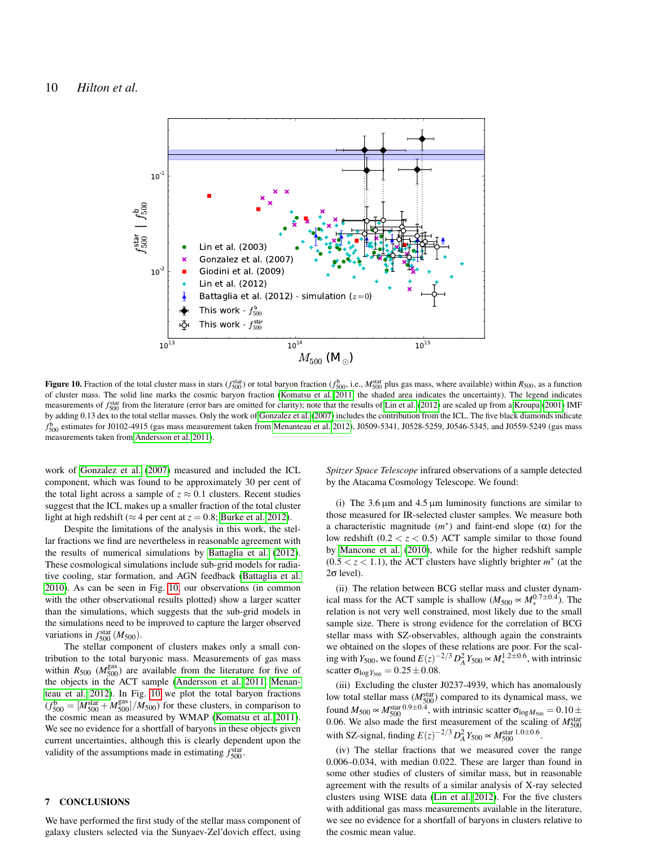

<span id="page-9-1"></span>Figure 10. Fraction of the total cluster mass in stars ( $f_{500}^{\text{star}}$ ) or total baryon fraction ( $f_{500}^{\text{b}}$ , i.e.,  $M_{500}^{\text{star}}$  plus gas mass, where available) within  $R_{500}$ , as a function of cluster mass. The solid line marks the cosmic baryon fraction [\(Komatsu et al. 2011,](#page-10-12) the shaded area indicates the uncertainty). The legend indicates measurements of  $f_{500}^{\text{star}}$  from the literature (error bars are omitted for clarity); note that the results of [Lin et al.](#page-11-4) [\(2012\)](#page-11-4) are scaled up from a [Kroupa](#page-10-52) [\(2001\)](#page-10-52) IMF by adding 0.13 dex to the total stellar masses. Only the work of [Gonzalez et al.](#page-10-9) [\(2007\)](#page-10-9) includes the contribution from the ICL. The five black diamonds indicate  $f_{500}^{\rm b}$  estimates for J0102-4915 (gas mass measurement taken from [Menanteau et al. 2012\)](#page-11-14), J0509-5341, J0528-5259, J0546-5345, and J0559-5249 (gas mass measurements taken from [Andersson et al. 2011\)](#page-10-58).

work of [Gonzalez et al.](#page-10-9) [\(2007\)](#page-10-9) measured and included the ICL component, which was found to be approximately 30 per cent of the total light across a sample of  $z \approx 0.1$  clusters. Recent studies suggest that the ICL makes up a smaller fraction of the total cluster light at high redshift ( $\approx$  4 per cent at  $z$  = 0.8; [Burke et al. 2012\)](#page-10-59).

Despite the limitations of the analysis in this work, the stellar fractions we find are nevertheless in reasonable agreement with the results of numerical simulations by [Battaglia et al.](#page-10-60) [\(2012\)](#page-10-60). These cosmological simulations include sub-grid models for radiative cooling, star formation, and AGN feedback [\(Battaglia et al.](#page-10-61) [2010\)](#page-10-61). As can be seen in Fig. [10,](#page-9-1) our observations (in common with the other observational results plotted) show a larger scatter than the simulations, which suggests that the sub-grid models in the simulations need to be improved to capture the larger observed variations in  $f_{500}^{\text{star}}(M_{500})$ .

The stellar component of clusters makes only a small contribution to the total baryonic mass. Measurements of gas mass within  $R_{500}$  ( $M_{500}^{gas}$ ) are available from the literature for five of the objects in the ACT sample [\(Andersson et al. 2011;](#page-10-58) [Menan](#page-11-14)[teau et al. 2012\)](#page-11-14). In Fig. [10](#page-9-1) we plot the total baryon fractions  $(f_{500}^{\text{b}} = [M_{500}^{\text{star}} + M_{500}^{\text{gas}}]/M_{500})$  for these clusters, in comparison to the cosmic mean as measured by WMAP [\(Komatsu et al. 2011\)](#page-10-12). We see no evidence for a shortfall of baryons in these objects given current uncertainties, although this is clearly dependent upon the validity of the assumptions made in estimating  $f_{500}^{\text{star}}$ .

#### <span id="page-9-0"></span>7 CONCLUSIONS

We have performed the first study of the stellar mass component of galaxy clusters selected via the Sunyaev-Zel'dovich effect, using

*Spitzer Space Telescope* infrared observations of a sample detected by the Atacama Cosmology Telescope. We found:

(i) The  $3.6 \mu m$  and  $4.5 \mu m$  luminosity functions are similar to those measured for IR-selected cluster samples. We measure both a characteristic magnitude  $(m^*)$  and faint-end slope  $(\alpha)$  for the low redshift  $(0.2 < z < 0.5)$  ACT sample similar to those found by [Mancone et al.](#page-11-19) [\(2010\)](#page-11-19), while for the higher redshift sample  $(0.5 < z < 1.1)$ , the ACT clusters have slightly brighter  $m^*$  (at the  $2σ$  level).

(ii) The relation between BCG stellar mass and cluster dynamical mass for the ACT sample is shallow  $(M_{500} \propto M_*^{0.7 \pm 0.4})$ . The relation is not very well constrained, most likely due to the small sample size. There is strong evidence for the correlation of BCG stellar mass with SZ-observables, although again the constraints we obtained on the slopes of these relations are poor. For the scaling with *Y*<sub>500</sub>, we found  $E(z)^{-2/3} D_A^2 Y_{500} \propto M_*^{1.2 \pm 0.6}$ , with intrinsic scatter  $\sigma_{\log Y_{500}} = 0.25 \pm 0.08$ .

(iii) Excluding the cluster J0237-4939, which has anomalously low total stellar mass  $(M_{500}^{\text{star}})$  compared to its dynamical mass, we found  $M_{500} \propto M_{500}^{\text{star}}$  0.9±0.4, with intrinsic scatter  $\sigma_{\log M_{500}} = 0.10 \pm$ 0.06. We also made the first measurement of the scaling of *M*<sup>star</sup><sub>500</sub> with SZ-signal, finding  $E(z)^{-2/3} D_A^2 Y_{500} \propto M_{500}^{\text{star}}$ <sup>1.0±0.6</sup>.

(iv) The stellar fractions that we measured cover the range 0.006–0.034, with median 0.022. These are larger than found in some other studies of clusters of similar mass, but in reasonable agreement with the results of a similar analysis of X-ray selected clusters using WISE data [\(Lin et al. 2012\)](#page-11-4). For the five clusters with additional gas mass measurements available in the literature, we see no evidence for a shortfall of baryons in clusters relative to the cosmic mean value.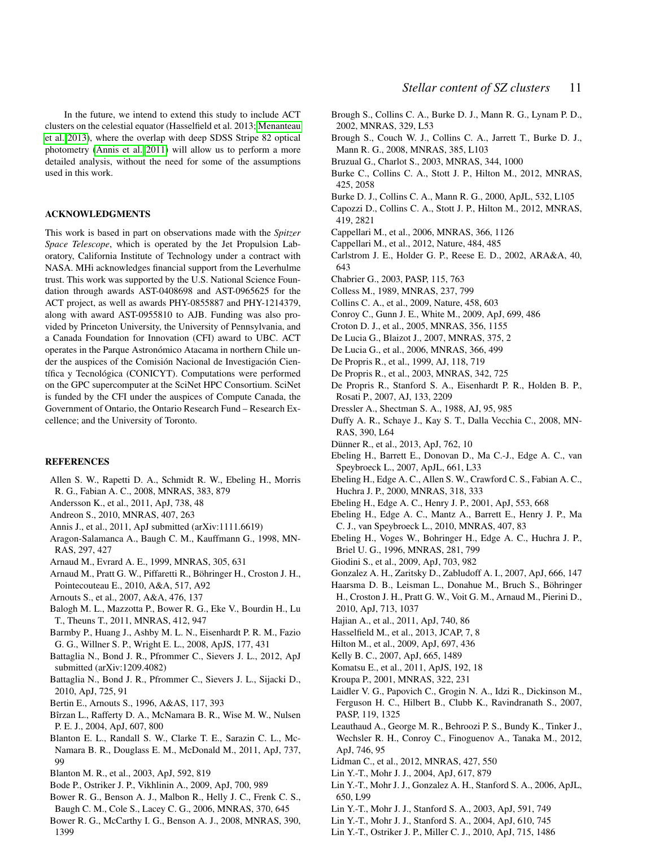In the future, we intend to extend this study to include ACT clusters on the celestial equator (Hasselfield et al. 2013; [Menanteau](#page-11-37) [et al. 2013\)](#page-11-37), where the overlap with deep SDSS Stripe 82 optical photometry [\(Annis et al. 2011\)](#page-10-62) will allow us to perform a more detailed analysis, without the need for some of the assumptions used in this work.

#### ACKNOWLEDGMENTS

This work is based in part on observations made with the *Spitzer Space Telescope*, which is operated by the Jet Propulsion Laboratory, California Institute of Technology under a contract with NASA. MHi acknowledges financial support from the Leverhulme trust. This work was supported by the U.S. National Science Foundation through awards AST-0408698 and AST-0965625 for the ACT project, as well as awards PHY-0855887 and PHY-1214379, along with award AST-0955810 to AJB. Funding was also provided by Princeton University, the University of Pennsylvania, and a Canada Foundation for Innovation (CFI) award to UBC. ACT operates in the Parque Astronómico Atacama in northern Chile under the auspices of the Comisión Nacional de Investigación Científica y Tecnológica (CONICYT). Computations were performed on the GPC supercomputer at the SciNet HPC Consortium. SciNet is funded by the CFI under the auspices of Compute Canada, the Government of Ontario, the Ontario Research Fund – Research Excellence; and the University of Toronto.

# **REFERENCES**

- <span id="page-10-0"></span>Allen S. W., Rapetti D. A., Schmidt R. W., Ebeling H., Morris R. G., Fabian A. C., 2008, MNRAS, 383, 879
- <span id="page-10-58"></span>Andersson K., et al., 2011, ApJ, 738, 48
- <span id="page-10-10"></span>Andreon S., 2010, MNRAS, 407, 263
- <span id="page-10-62"></span>Annis J., et al., 2011, ApJ submitted (arXiv:1111.6619)
- <span id="page-10-34"></span>Aragon-Salamanca A., Baugh C. M., Kauffmann G., 1998, MN-RAS, 297, 427
- <span id="page-10-1"></span>Arnaud M., Evrard A. E., 1999, MNRAS, 305, 631

<span id="page-10-18"></span>Arnaud M., Pratt G. W., Piffaretti R., Böhringer H., Croston J. H., Pointecouteau E., 2010, A&A, 517, A92

- <span id="page-10-56"></span>Arnouts S., et al., 2007, A&A, 476, 137
- <span id="page-10-11"></span>Balogh M. L., Mazzotta P., Bower R. G., Eke V., Bourdin H., Lu T., Theuns T., 2011, MNRAS, 412, 947
- <span id="page-10-21"></span>Barmby P., Huang J., Ashby M. L. N., Eisenhardt P. R. M., Fazio G. G., Willner S. P., Wright E. L., 2008, ApJS, 177, 431
- <span id="page-10-60"></span>Battaglia N., Bond J. R., Pfrommer C., Sievers J. L., 2012, ApJ submitted (arXiv:1209.4082)
- <span id="page-10-61"></span>Battaglia N., Bond J. R., Pfrommer C., Sievers J. L., Sijacki D., 2010, ApJ, 725, 91
- <span id="page-10-20"></span>Bertin E., Arnouts S., 1996, A&AS, 117, 393
- <span id="page-10-2"></span>Bîrzan L., Rafferty D. A., McNamara B. R., Wise M. W., Nulsen P. E. J., 2004, ApJ, 607, 800
- <span id="page-10-3"></span>Blanton E. L., Randall S. W., Clarke T. E., Sarazin C. L., Mc-Namara B. R., Douglass E. M., McDonald M., 2011, ApJ, 737, 99
- <span id="page-10-23"></span>Blanton M. R., et al., 2003, ApJ, 592, 819
- <span id="page-10-7"></span>Bode P., Ostriker J. P., Vikhlinin A., 2009, ApJ, 700, 989
- <span id="page-10-5"></span>Bower R. G., Benson A. J., Malbon R., Helly J. C., Frenk C. S.,
- Baugh C. M., Cole S., Lacey C. G., 2006, MNRAS, 370, 645
- <span id="page-10-6"></span>Bower R. G., McCarthy I. G., Benson A. J., 2008, MNRAS, 390, 1399
- <span id="page-10-36"></span>Brough S., Collins C. A., Burke D. J., Mann R. G., Lynam P. D., 2002, MNRAS, 329, L53
- <span id="page-10-41"></span>Brough S., Couch W. J., Collins C. A., Jarrett T., Burke D. J., Mann R. G., 2008, MNRAS, 385, L103
- <span id="page-10-31"></span>Bruzual G., Charlot S., 2003, MNRAS, 344, 1000
- <span id="page-10-59"></span>Burke C., Collins C. A., Stott J. P., Hilton M., 2012, MNRAS, 425, 2058
- <span id="page-10-35"></span>Burke D. J., Collins C. A., Mann R. G., 2000, ApJL, 532, L105
- <span id="page-10-28"></span>Capozzi D., Collins C. A., Stott J. P., Hilton M., 2012, MNRAS, 419, 2821
- <span id="page-10-53"></span>Cappellari M., et al., 2006, MNRAS, 366, 1126
- <span id="page-10-54"></span>Cappellari M., et al., 2012, Nature, 484, 485
- <span id="page-10-14"></span>Carlstrom J. E., Holder G. P., Reese E. D., 2002, ARA&A, 40, 643
- <span id="page-10-46"></span>Chabrier G., 2003, PASP, 115, 763
- <span id="page-10-29"></span>Colless M., 1989, MNRAS, 237, 799
- <span id="page-10-42"></span>Collins C. A., et al., 2009, Nature, 458, 603
- <span id="page-10-47"></span>Conroy C., Gunn J. E., White M., 2009, ApJ, 699, 486
- <span id="page-10-25"></span>Croton D. J., et al., 2005, MNRAS, 356, 1155
- <span id="page-10-37"></span>De Lucia G., Blaizot J., 2007, MNRAS, 375, 2
- <span id="page-10-4"></span>De Lucia G., et al., 2006, MNRAS, 366, 499
- <span id="page-10-26"></span>De Propris R., et al., 1999, AJ, 118, 719
- <span id="page-10-24"></span>De Propris R., et al., 2003, MNRAS, 342, 725
- <span id="page-10-32"></span>De Propris R., Stanford S. A., Eisenhardt P. R., Holden B. P., Rosati P., 2007, AJ, 133, 2209
- <span id="page-10-51"></span>Dressler A., Shectman S. A., 1988, AJ, 95, 985
- <span id="page-10-19"></span>Duffy A. R., Schaye J., Kay S. T., Dalla Vecchia C., 2008, MN-RAS, 390, L64
- <span id="page-10-16"></span>Dünner R., et al., 2013, ApJ, 762, 10
- <span id="page-10-44"></span>Ebeling H., Barrett E., Donovan D., Ma C.-J., Edge A. C., van Speybroeck L., 2007, ApJL, 661, L33
- <span id="page-10-39"></span>Ebeling H., Edge A. C., Allen S. W., Crawford C. S., Fabian A. C., Huchra J. P., 2000, MNRAS, 318, 333
- <span id="page-10-40"></span>Ebeling H., Edge A. C., Henry J. P., 2001, ApJ, 553, 668
- <span id="page-10-45"></span>Ebeling H., Edge A. C., Mantz A., Barrett E., Henry J. P., Ma C. J., van Speybroeck L., 2010, MNRAS, 407, 83
- <span id="page-10-38"></span>Ebeling H., Voges W., Bohringer H., Edge A. C., Huchra J. P., Briel U. G., 1996, MNRAS, 281, 799
- <span id="page-10-13"></span>Giodini S., et al., 2009, ApJ, 703, 982
- <span id="page-10-9"></span>Gonzalez A. H., Zaritsky D., Zabludoff A. I., 2007, ApJ, 666, 147
- <span id="page-10-50"></span>Haarsma D. B., Leisman L., Donahue M., Bruch S., Böhringer H., Croston J. H., Pratt G. W., Voit G. M., Arnaud M., Pierini D., 2010, ApJ, 713, 1037
- <span id="page-10-15"></span>Hajian A., et al., 2011, ApJ, 740, 86
- <span id="page-10-17"></span>Hasselfield M., et al., 2013, JCAP, 7, 8
- <span id="page-10-55"></span>Hilton M., et al., 2009, ApJ, 697, 436
- <span id="page-10-48"></span>Kelly B. C., 2007, ApJ, 665, 1489
- <span id="page-10-12"></span>Komatsu E., et al., 2011, ApJS, 192, 18
- <span id="page-10-52"></span>Kroupa P., 2001, MNRAS, 322, 231
- <span id="page-10-22"></span>Laidler V. G., Papovich C., Grogin N. A., Idzi R., Dickinson M., Ferguson H. C., Hilbert B., Clubb K., Ravindranath S., 2007, PASP, 119, 1325
- <span id="page-10-57"></span>Leauthaud A., George M. R., Behroozi P. S., Bundy K., Tinker J., Wechsler R. H., Conroy C., Finoguenov A., Tanaka M., 2012, ApJ, 746, 95
- <span id="page-10-43"></span>Lidman C., et al., 2012, MNRAS, 427, 550
- <span id="page-10-49"></span>Lin Y.-T., Mohr J. J., 2004, ApJ, 617, 879
- <span id="page-10-27"></span>Lin Y.-T., Mohr J. J., Gonzalez A. H., Stanford S. A., 2006, ApJL, 650, L99
- <span id="page-10-8"></span>Lin Y.-T., Mohr J. J., Stanford S. A., 2003, ApJ, 591, 749
- <span id="page-10-33"></span>Lin Y.-T., Mohr J. J., Stanford S. A., 2004, ApJ, 610, 745
- <span id="page-10-30"></span>Lin Y.-T., Ostriker J. P., Miller C. J., 2010, ApJ, 715, 1486